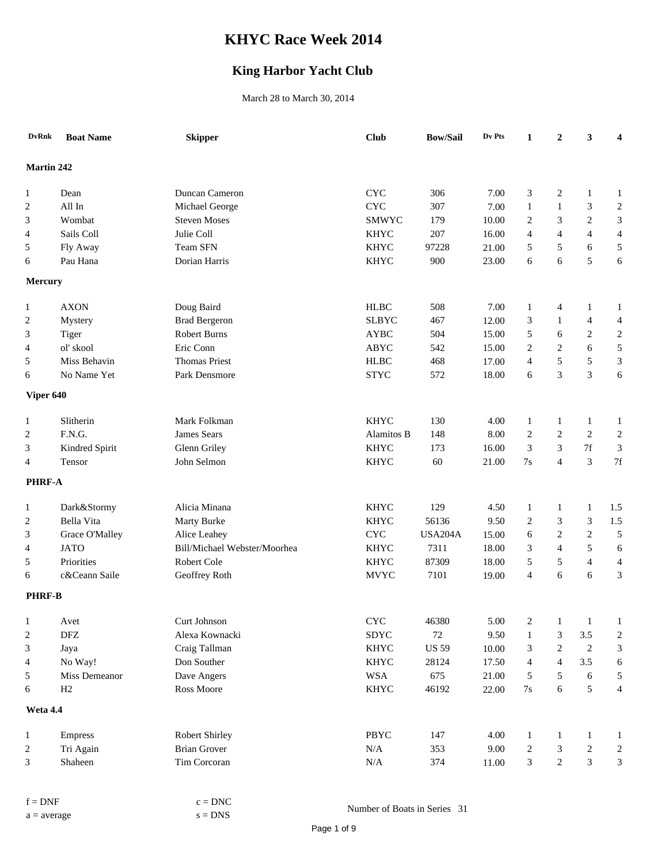# **KHYC Race Week 2014**

# **King Harbor Yacht Club**

March 28 to March 30, 2014

| <b>DvRnk</b>      | <b>Boat Name</b> | <b>Skipper</b>               | <b>Club</b>  | <b>Bow/Sail</b> | Dv Pts | 1              | $\overline{2}$              | 3                              | 4                           |  |
|-------------------|------------------|------------------------------|--------------|-----------------|--------|----------------|-----------------------------|--------------------------------|-----------------------------|--|
| <b>Martin 242</b> |                  |                              |              |                 |        |                |                             |                                |                             |  |
| $\mathbf{1}$      | Dean             | Duncan Cameron               | <b>CYC</b>   | 306             | 7.00   | 3              | $\overline{c}$              | 1                              | $\mathbf{1}$                |  |
| 2                 | All In           | Michael George               | <b>CYC</b>   | 307             | 7.00   | 1              | $\mathbf{1}$                | 3                              | $\overline{c}$              |  |
| 3                 | Wombat           | <b>Steven Moses</b>          | <b>SMWYC</b> | 179             | 10.00  | $\overline{c}$ | 3                           | $\sqrt{2}$                     | $\mathfrak 3$               |  |
| 4                 | Sails Coll       | Julie Coll                   | <b>KHYC</b>  | 207             | 16.00  | $\overline{4}$ | $\overline{4}$              | $\overline{4}$                 | $\overline{4}$              |  |
| 5                 | Fly Away         | Team SFN                     | <b>KHYC</b>  | 97228           | 21.00  | 5              | 5                           | 6                              | 5                           |  |
| 6                 | Pau Hana         | Dorian Harris                | <b>KHYC</b>  | 900             | 23.00  | 6              | 6                           | 5                              | $\epsilon$                  |  |
|                   |                  |                              |              |                 |        |                |                             |                                |                             |  |
| <b>Mercury</b>    |                  |                              |              |                 |        |                |                             |                                |                             |  |
| $\mathbf{1}$      | <b>AXON</b>      | Doug Baird                   | <b>HLBC</b>  | 508             | 7.00   | $\mathbf{1}$   | $\overline{4}$              | $\mathbf{1}$                   | $\mathbf{1}$                |  |
| 2                 | Mystery          | <b>Brad Bergeron</b>         | <b>SLBYC</b> | 467             | 12.00  | 3              | $\mathbf{1}$                | 4                              | $\overline{4}$              |  |
| 3                 | Tiger            | Robert Burns                 | <b>AYBC</b>  | 504             | 15.00  | 5              | 6                           | 2                              | $\sqrt{2}$                  |  |
| 4                 | ol' skool        | Eric Conn                    | ABYC         | 542             | 15.00  | 2              | $\sqrt{2}$                  | 6                              | $\sqrt{5}$                  |  |
| 5                 | Miss Behavin     | <b>Thomas Priest</b>         | <b>HLBC</b>  | 468             | 17.00  | $\overline{4}$ | 5                           | 5                              | $\ensuremath{\mathfrak{Z}}$ |  |
| 6                 | No Name Yet      | Park Densmore                | <b>STYC</b>  | 572             | 18.00  | 6              | 3                           | 3                              | 6                           |  |
| Viper 640         |                  |                              |              |                 |        |                |                             |                                |                             |  |
|                   | Slitherin        | Mark Folkman                 | <b>KHYC</b>  | 130             | 4.00   | $\mathbf{1}$   | $\mathbf{1}$                |                                |                             |  |
| $\mathbf{1}$<br>2 | F.N.G.           | James Sears                  | Alamitos B   | 148             | 8.00   | $\sqrt{2}$     | $\sqrt{2}$                  | $\mathbf{1}$<br>$\overline{2}$ | $\mathbf{1}$<br>$\sqrt{2}$  |  |
| 3                 | Kindred Spirit   | Glenn Griley                 | <b>KHYC</b>  | 173             | 16.00  | 3              | $\mathfrak{Z}$              | 7f                             | $\mathfrak 3$               |  |
| 4                 | Tensor           | John Selmon                  | <b>KHYC</b>  | 60              | 21.00  | 7s             | $\overline{4}$              | $\mathfrak{Z}$                 | 7f                          |  |
|                   |                  |                              |              |                 |        |                |                             |                                |                             |  |
| <b>PHRF-A</b>     |                  |                              |              |                 |        |                |                             |                                |                             |  |
| $\mathbf{1}$      | Dark&Stormy      | Alicia Minana                | <b>KHYC</b>  | 129             | 4.50   | $\mathbf{1}$   | 1                           | 1                              | 1.5                         |  |
| 2                 | Bella Vita       | Marty Burke                  | <b>KHYC</b>  | 56136           | 9.50   | 2              | $\ensuremath{\mathfrak{Z}}$ | 3                              | 1.5                         |  |
| 3                 | Grace O'Malley   | Alice Leahey                 | <b>CYC</b>   | USA204A         | 15.00  | 6              | $\sqrt{2}$                  | $\overline{2}$                 | $\sqrt{5}$                  |  |
| 4                 | <b>JATO</b>      | Bill/Michael Webster/Moorhea | <b>KHYC</b>  | 7311            | 18.00  | 3              | $\overline{4}$              | 5                              | 6                           |  |
| 5                 | Priorities       | Robert Cole                  | <b>KHYC</b>  | 87309           | 18.00  | 5              | $\sqrt{5}$                  | $\overline{4}$                 | $\overline{4}$              |  |
| 6                 | c&Ceann Saile    | Geoffrey Roth                | <b>MVYC</b>  | 7101            | 19.00  | $\overline{4}$ | 6                           | 6                              | 3                           |  |
| <b>PHRF-B</b>     |                  |                              |              |                 |        |                |                             |                                |                             |  |
| $\mathbf{1}$      | Avet             | Curt Johnson                 | <b>CYC</b>   | 46380           | 5.00   | $\sqrt{2}$     | 1                           | $\mathbf{1}$                   | 1                           |  |
| $\boldsymbol{2}$  | $\rm{DFZ}$       | Alexa Kownacki               | SDYC         | $72\,$          | 9.50   | $\mathbf{1}$   | 3                           | 3.5                            | $\sqrt{2}$                  |  |
| 3                 | Jaya             | Craig Tallman                | <b>KHYC</b>  | <b>US 59</b>    | 10.00  | 3              | $\sqrt{2}$                  | $\sqrt{2}$                     | $\ensuremath{\mathfrak{Z}}$ |  |
| 4                 | No Way!          | Don Souther                  | <b>KHYC</b>  | 28124           | 17.50  | $\overline{4}$ | $\overline{4}$              | 3.5                            | $\sqrt{6}$                  |  |
| 5                 | Miss Demeanor    | Dave Angers                  | <b>WSA</b>   | 675             | 21.00  | $\sqrt{5}$     | $\sqrt{5}$                  | 6                              | $\sqrt{5}$                  |  |
| 6                 | H2               | Ross Moore                   | <b>KHYC</b>  | 46192           | 22.00  | $7\mathrm{s}$  | $\sqrt{6}$                  | 5                              | $\overline{4}$              |  |
| Weta 4.4          |                  |                              |              |                 |        |                |                             |                                |                             |  |
|                   |                  |                              |              |                 |        |                |                             |                                |                             |  |
| $\mathbf{1}$      | Empress          | Robert Shirley               | PBYC         | 147             | 4.00   | $\mathbf{1}$   | $\mathbf{1}$                | $\mathbf{1}$                   | $\mathbf{1}$                |  |
| 2                 | Tri Again        | <b>Brian Grover</b>          | $\rm N/A$    | 353             | 9.00   | $\sqrt{2}$     | $\sqrt{3}$                  | $\sqrt{2}$                     | $\sqrt{2}$                  |  |
| 3                 | Shaheen          | Tim Corcoran                 | $\rm N/A$    | 374             | 11.00  | 3              | $\sqrt{2}$                  | $\mathfrak{Z}$                 | $\mathfrak{Z}$              |  |
|                   |                  |                              |              |                 |        |                |                             |                                |                             |  |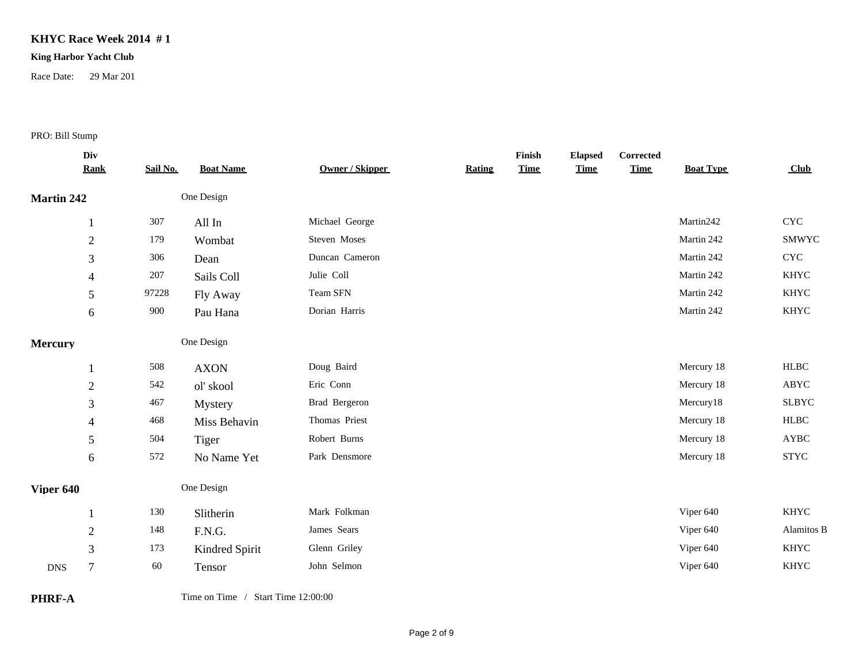#### **King Harbor Yacht Club**

Race Date: 29 Mar 201

#### PRO: Bill Stump

|                   | Div<br><b>Rank</b> | Sail No. | <b>Boat Name</b> | <b>Owner / Skipper</b> | <b>Rating</b> | Finish<br><b>Time</b> | <b>Elapsed</b><br><b>Time</b> | Corrected<br><b>Time</b> | <b>Boat Type</b> | Club                      |
|-------------------|--------------------|----------|------------------|------------------------|---------------|-----------------------|-------------------------------|--------------------------|------------------|---------------------------|
| <b>Martin 242</b> |                    |          | One Design       |                        |               |                       |                               |                          |                  |                           |
|                   |                    | 307      | All In           | Michael George         |               |                       |                               |                          | Martin242        | $\ensuremath{\text{CYC}}$ |
|                   | $\overline{2}$     | 179      | Wombat           | Steven Moses           |               |                       |                               |                          | Martin 242       | SMWYC                     |
|                   | $\mathfrak{Z}$     | 306      | Dean             | Duncan Cameron         |               |                       |                               |                          | Martin 242       | <b>CYC</b>                |
|                   | 4                  | 207      | Sails Coll       | Julie Coll             |               |                       |                               |                          | Martin 242       | <b>KHYC</b>               |
|                   | 5                  | 97228    | Fly Away         | Team SFN               |               |                       |                               |                          | Martin 242       | <b>KHYC</b>               |
|                   | $\sqrt{6}$         | 900      | Pau Hana         | Dorian Harris          |               |                       |                               |                          | Martin 242       | KHYC                      |
| <b>Mercury</b>    |                    |          | One Design       |                        |               |                       |                               |                          |                  |                           |
|                   |                    | 508      | <b>AXON</b>      | Doug Baird             |               |                       |                               |                          | Mercury 18       | ${\rm H L B C}$           |
|                   | $\sqrt{2}$         | 542      | ol' skool        | Eric Conn              |               |                       |                               |                          | Mercury 18       | ABYC                      |
|                   | 3                  | 467      | Mystery          | Brad Bergeron          |               |                       |                               |                          | Mercury18        | <b>SLBYC</b>              |
|                   | $\overline{4}$     | 468      | Miss Behavin     | Thomas Priest          |               |                       |                               |                          | Mercury 18       | ${\tt HLBC}$              |
|                   | $\sqrt{5}$         | 504      | Tiger            | Robert Burns           |               |                       |                               |                          | Mercury 18       | AYBC                      |
|                   | $6\,$              | 572      | No Name Yet      | Park Densmore          |               |                       |                               |                          | Mercury 18       | <b>STYC</b>               |
| Viper 640         |                    |          | One Design       |                        |               |                       |                               |                          |                  |                           |
|                   |                    | 130      | Slitherin        | Mark Folkman           |               |                       |                               |                          | Viper 640        | <b>KHYC</b>               |
|                   | $\sqrt{2}$         | 148      | F.N.G.           | James Sears            |               |                       |                               |                          | Viper 640        | Alamitos B                |
|                   | $\mathfrak{Z}$     | 173      | Kindred Spirit   | Glenn Griley           |               |                       |                               |                          | Viper 640        | <b>KHYC</b>               |
| ${\rm DNS}$       | $\overline{7}$     | 60       | Tensor           | John Selmon            |               |                       |                               |                          | Viper 640        | KHYC                      |
|                   |                    |          |                  |                        |               |                       |                               |                          |                  |                           |

**PHRF-A** Time on Time / Start Time 12:00:00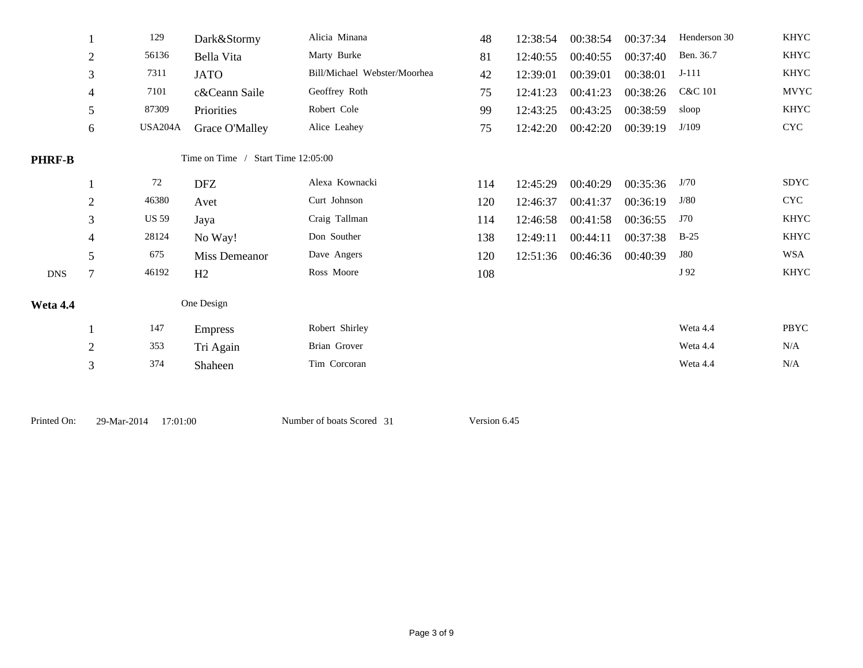|               |                | 129          | Dark&Stormy                        | Alicia Minana                | 48  | 12:38:54 | 00:38:54 | 00:37:34 | Henderson 30 | <b>KHYC</b>  |
|---------------|----------------|--------------|------------------------------------|------------------------------|-----|----------|----------|----------|--------------|--------------|
|               | $\overline{2}$ | 56136        | Bella Vita                         | Marty Burke                  | 81  | 12:40:55 | 00:40:55 | 00:37:40 | Ben. 36.7    | KHYC         |
|               | 3              | 7311         | <b>JATO</b>                        | Bill/Michael Webster/Moorhea | 42  | 12:39:01 | 00:39:01 | 00:38:01 | $J-111$      | KHYC         |
|               | 4              | 7101         | c&Ceann Saile                      | Geoffrey Roth                | 75  | 12:41:23 | 00:41:23 | 00:38:26 | C&C 101      | <b>MVYC</b>  |
|               | 5              | 87309        | Priorities                         | Robert Cole                  | 99  | 12:43:25 | 00:43:25 | 00:38:59 | sloop        | <b>KHYC</b>  |
|               | 6              | USA204A      | Grace O'Malley                     | Alice Leahey                 | 75  | 12:42:20 | 00:42:20 | 00:39:19 | J/109        | $_{\rm CYC}$ |
| <b>PHRF-B</b> |                |              | Time on Time / Start Time 12:05:00 |                              |     |          |          |          |              |              |
|               |                | 72           | <b>DFZ</b>                         | Alexa Kownacki               | 114 | 12:45:29 | 00:40:29 | 00:35:36 | J/70         | <b>SDYC</b>  |
|               | $\overline{2}$ | 46380        | Avet                               | Curt Johnson                 | 120 | 12:46:37 | 00:41:37 | 00:36:19 | J/80         | $_{\rm CYC}$ |
|               | 3              | <b>US 59</b> | Jaya                               | Craig Tallman                | 114 | 12:46:58 | 00:41:58 | 00:36:55 | J70          | KHYC         |
|               | $\overline{4}$ | 28124        | No Way!                            | Don Souther                  | 138 | 12:49:11 | 00:44:11 | 00:37:38 | $B-25$       | <b>KHYC</b>  |
|               | 5              | 675          | Miss Demeanor                      | Dave Angers                  | 120 | 12:51:36 | 00:46:36 | 00:40:39 | <b>J80</b>   | WSA          |
| <b>DNS</b>    | $\overline{7}$ | 46192        | H2                                 | Ross Moore                   | 108 |          |          |          | J 92         | KHYC         |
| Weta 4.4      |                |              | One Design                         |                              |     |          |          |          |              |              |
|               |                | 147          | <b>Empress</b>                     | Robert Shirley               |     |          |          |          | Weta 4.4     | PBYC         |
|               | $\overline{2}$ | 353          | Tri Again                          | Brian Grover                 |     |          |          |          | Weta 4.4     | N/A          |
|               | 3              | 374          | Shaheen                            | Tim Corcoran                 |     |          |          |          | Weta 4.4     | $\rm N/A$    |

Printed On: 29-Mar-2014 17:01:00 Number of boats Scored 31 Version 6.45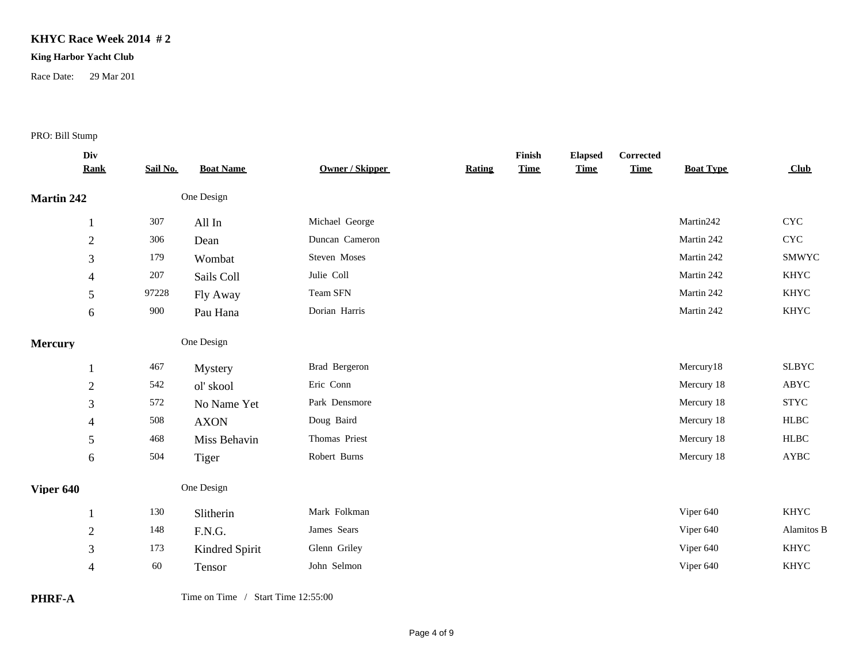#### **King Harbor Yacht Club**

Race Date: 29 Mar 201

#### PRO: Bill Stump

|                   | Div<br><b>Rank</b> | Sail No. | <b>Boat Name</b> | <b>Owner / Skipper</b> | <b>Rating</b> | Finish<br><b>Time</b> | <b>Elapsed</b><br><b>Time</b> | Corrected<br><b>Time</b> | <b>Boat Type</b> | <b>Club</b>               |
|-------------------|--------------------|----------|------------------|------------------------|---------------|-----------------------|-------------------------------|--------------------------|------------------|---------------------------|
| <b>Martin 242</b> |                    |          | One Design       |                        |               |                       |                               |                          |                  |                           |
|                   |                    | 307      | All In           | Michael George         |               |                       |                               |                          | Martin242        | $\ensuremath{\text{CYC}}$ |
|                   | $\sqrt{2}$         | 306      | Dean             | Duncan Cameron         |               |                       |                               |                          | Martin 242       | $\ensuremath{\text{CYC}}$ |
|                   | $\mathfrak{Z}$     | 179      | Wombat           | Steven Moses           |               |                       |                               |                          | Martin 242       | SMWYC                     |
|                   | $\overline{4}$     | $207\,$  | Sails Coll       | Julie Coll             |               |                       |                               |                          | Martin 242       | <b>KHYC</b>               |
|                   | 5                  | 97228    | Fly Away         | Team SFN               |               |                       |                               |                          | Martin 242       | <b>KHYC</b>               |
|                   | $6\,$              | 900      | Pau Hana         | Dorian Harris          |               |                       |                               |                          | Martin 242       | KHYC                      |
| <b>Mercury</b>    |                    |          | One Design       |                        |               |                       |                               |                          |                  |                           |
|                   |                    | 467      | Mystery          | Brad Bergeron          |               |                       |                               |                          | Mercury18        | <b>SLBYC</b>              |
|                   | $\sqrt{2}$         | 542      | ol' skool        | Eric Conn              |               |                       |                               |                          | Mercury 18       | ABYC                      |
|                   | $\mathfrak{Z}$     | 572      | No Name Yet      | Park Densmore          |               |                       |                               |                          | Mercury 18       | <b>STYC</b>               |
|                   | $\overline{4}$     | 508      | $\bold{AXON}$    | Doug Baird             |               |                       |                               |                          | Mercury 18       | ${\rm H L B C}$           |
|                   | $\sqrt{5}$         | 468      | Miss Behavin     | Thomas Priest          |               |                       |                               |                          | Mercury 18       | ${\rm H L B C}$           |
|                   | $\sqrt{6}$         | 504      | Tiger            | Robert Burns           |               |                       |                               |                          | Mercury 18       | ${\rm AYBC}$              |
| Viper 640         |                    |          | One Design       |                        |               |                       |                               |                          |                  |                           |
|                   |                    | 130      | Slitherin        | Mark Folkman           |               |                       |                               |                          | Viper 640        | <b>KHYC</b>               |
|                   | $\sqrt{2}$         | 148      | F.N.G.           | James Sears            |               |                       |                               |                          | Viper 640        | Alamitos B                |
|                   | $\mathfrak{Z}$     | 173      | Kindred Spirit   | Glenn Griley           |               |                       |                               |                          | Viper 640        | <b>KHYC</b>               |
|                   | $\overline{4}$     | $60\,$   | Tensor           | John Selmon            |               |                       |                               |                          | Viper 640        | KHYC                      |
|                   |                    |          |                  |                        |               |                       |                               |                          |                  |                           |

**PHRF-A** Time on Time / Start Time 12:55:00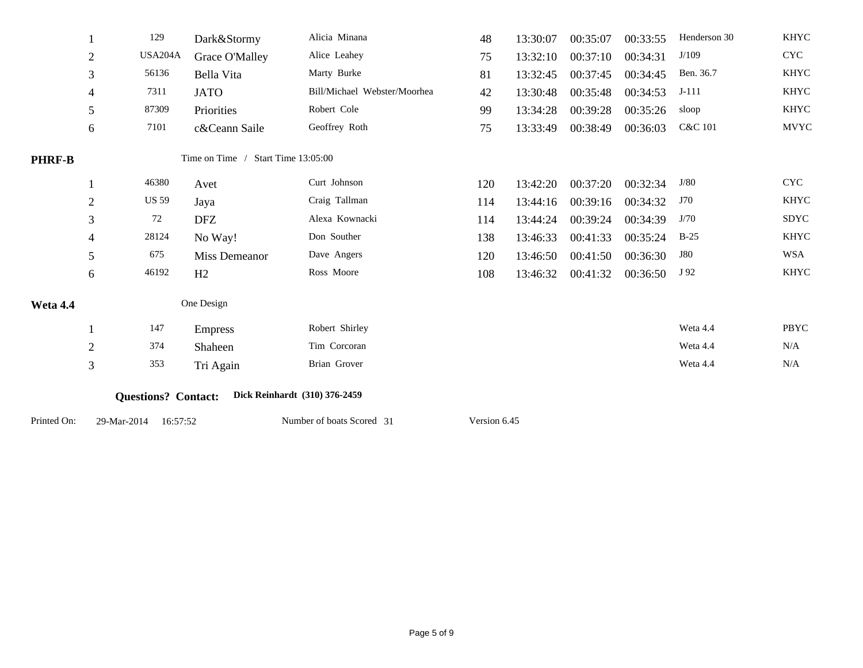|               |                | 129                        | Dark&Stormy                        | Alicia Minana                 | 48           | 13:30:07 | 00:35:07 | 00:33:55 | Henderson 30 | <b>KHYC</b>  |
|---------------|----------------|----------------------------|------------------------------------|-------------------------------|--------------|----------|----------|----------|--------------|--------------|
|               | $\overline{2}$ | <b>USA204A</b>             | Grace O'Malley                     | Alice Leahey                  | 75           | 13:32:10 | 00:37:10 | 00:34:31 | J/109        | $_{\rm CYC}$ |
|               | 3              | 56136                      | Bella Vita                         | Marty Burke                   | 81           | 13:32:45 | 00:37:45 | 00:34:45 | Ben. 36.7    | <b>KHYC</b>  |
|               | 4              | 7311                       | <b>JATO</b>                        | Bill/Michael Webster/Moorhea  | 42           | 13:30:48 | 00:35:48 | 00:34:53 | $J-111$      | <b>KHYC</b>  |
|               | 5              | 87309                      | Priorities                         | Robert Cole                   | 99           | 13:34:28 | 00:39:28 | 00:35:26 | sloop        | <b>KHYC</b>  |
|               | $6\,$          | 7101                       | c&Ceann Saile                      | Geoffrey Roth                 | 75           | 13:33:49 | 00:38:49 | 00:36:03 | C&C 101      | <b>MVYC</b>  |
| <b>PHRF-B</b> |                |                            | Time on Time / Start Time 13:05:00 |                               |              |          |          |          |              |              |
|               |                | 46380                      | Avet                               | Curt Johnson                  | 120          | 13:42:20 | 00:37:20 | 00:32:34 | J/80         | <b>CYC</b>   |
|               | 2              | <b>US 59</b>               | Jaya                               | Craig Tallman                 | 114          | 13:44:16 | 00:39:16 | 00:34:32 | J70          | <b>KHYC</b>  |
|               | 3              | 72                         | <b>DFZ</b>                         | Alexa Kownacki                | 114          | 13:44:24 | 00:39:24 | 00:34:39 | J/70         | SDYC         |
|               | 4              | 28124                      | No Way!                            | Don Souther                   | 138          | 13:46:33 | 00:41:33 | 00:35:24 | $B-25$       | <b>KHYC</b>  |
|               | 5              | 675                        | Miss Demeanor                      | Dave Angers                   | 120          | 13:46:50 | 00:41:50 | 00:36:30 | <b>J80</b>   | <b>WSA</b>   |
|               | 6              | 46192                      | H2                                 | Ross Moore                    | 108          | 13:46:32 | 00:41:32 | 00:36:50 | J 92         | <b>KHYC</b>  |
| Weta 4.4      |                |                            | One Design                         |                               |              |          |          |          |              |              |
|               |                | 147                        | <b>Empress</b>                     | Robert Shirley                |              |          |          |          | Weta 4.4     | <b>PBYC</b>  |
|               | $\overline{c}$ | 374                        | Shaheen                            | Tim Corcoran                  |              |          |          |          | Weta 4.4     | $\rm N/A$    |
|               | 3              | 353                        | Tri Again                          | Brian Grover                  |              |          |          |          | Weta 4.4     | N/A          |
|               |                | <b>Questions?</b> Contact: |                                    | Dick Reinhardt (310) 376-2459 |              |          |          |          |              |              |
| Printed On:   | 29-Mar-2014    | 16:57:52                   |                                    | Number of boats Scored 31     | Version 6.45 |          |          |          |              |              |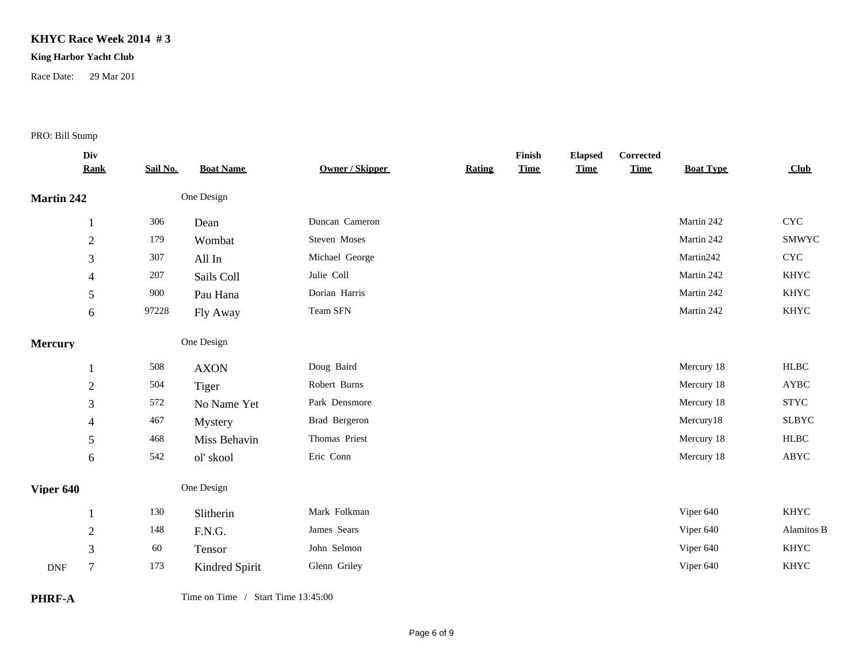#### **King Harbor Yacht Club**

Race Date: 29 Mar 201

#### PRO: Bill Stump

|                   | Div<br>Rank    | Sail No. | <b>Boat Name</b>                   | Owner / Skipper | <b>Rating</b> | Finish<br><b>Time</b> | <b>Elapsed</b><br><b>Time</b> | Corrected<br><b>Time</b> | <b>Boat Type</b> | Club                             |
|-------------------|----------------|----------|------------------------------------|-----------------|---------------|-----------------------|-------------------------------|--------------------------|------------------|----------------------------------|
| <b>Martin 242</b> |                |          | One Design                         |                 |               |                       |                               |                          |                  |                                  |
|                   |                | 306      | Dean                               | Duncan Cameron  |               |                       |                               |                          | Martin 242       | $\ensuremath{\text{CYC}}$        |
|                   | $\sqrt{2}$     | 179      | Wombat                             | Steven Moses    |               |                       |                               |                          | Martin 242       | SMWYC                            |
|                   | $\mathfrak{Z}$ | 307      | All In                             | Michael George  |               |                       |                               |                          | Martin242        | $\ensuremath{\text{CYC}}$        |
|                   | $\overline{4}$ | 207      | Sails Coll                         | Julie Coll      |               |                       |                               |                          | Martin 242       | <b>KHYC</b>                      |
|                   | $\sqrt{5}$     | 900      | Pau Hana                           | Dorian Harris   |               |                       |                               |                          | Martin 242       | KHYC                             |
|                   | $\sqrt{6}$     | 97228    | Fly Away                           | Team SFN        |               |                       |                               |                          | Martin 242       | <b>KHYC</b>                      |
| <b>Mercury</b>    |                |          | One Design                         |                 |               |                       |                               |                          |                  |                                  |
|                   | $\mathbf{1}$   | 508      | <b>AXON</b>                        | Doug Baird      |               |                       |                               |                          | Mercury 18       | ${\tt HLBC}$                     |
|                   | $\sqrt{2}$     | 504      | Tiger                              | Robert Burns    |               |                       |                               |                          | Mercury 18       | ${\rm AYBC}$                     |
|                   | $\mathfrak{Z}$ | 572      | No Name Yet                        | Park Densmore   |               |                       |                               |                          | Mercury 18       | ${\hbox{\footnotesize\rm STYC}}$ |
|                   | $\overline{4}$ | 467      | Mystery                            | Brad Bergeron   |               |                       |                               |                          | Mercury18        | <b>SLBYC</b>                     |
|                   | $\sqrt{5}$     | 468      | Miss Behavin                       | Thomas Priest   |               |                       |                               |                          | Mercury 18       | ${\tt HLBC}$                     |
|                   | $\sqrt{6}$     | 542      | ol' skool                          | Eric Conn       |               |                       |                               |                          | Mercury 18       | ABYC                             |
| Viper 640         |                |          | One Design                         |                 |               |                       |                               |                          |                  |                                  |
|                   |                | 130      | Slitherin                          | Mark Folkman    |               |                       |                               |                          | Viper 640        | KHYC                             |
|                   | $\sqrt{2}$     | 148      | F.N.G.                             | James Sears     |               |                       |                               |                          | Viper 640        | Alamitos B                       |
|                   | 3              | 60       | Tensor                             | John Selmon     |               |                       |                               |                          | Viper 640        | KHYC                             |
| $\mathbf{DNF}$    | $\overline{7}$ | 173      | Kindred Spirit                     | Glenn Griley    |               |                       |                               |                          | Viper 640        | KHYC                             |
| PHRF-A            |                |          | Time on Time / Start Time 13:45:00 |                 |               |                       |                               |                          |                  |                                  |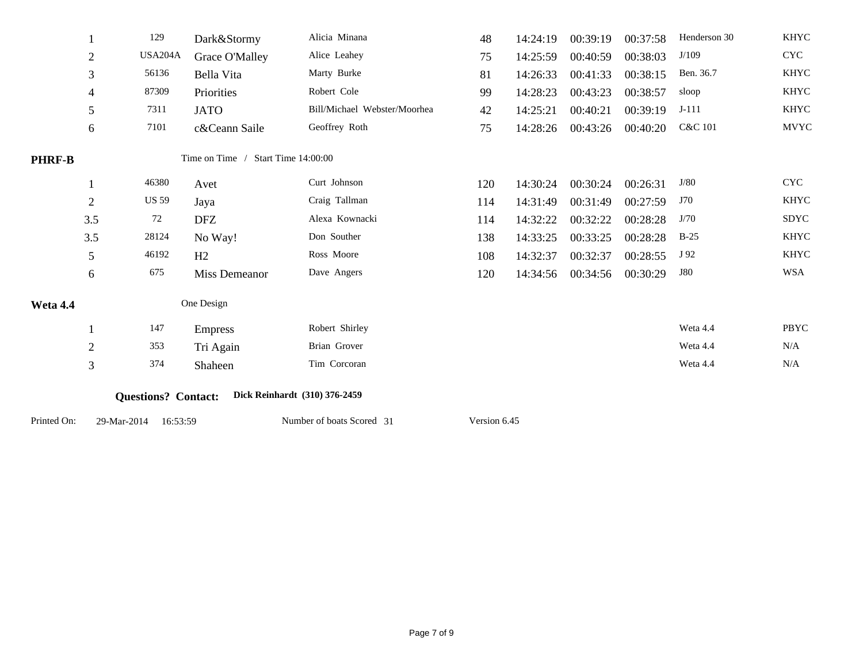|               |                | 129                        | Dark&Stormy                        | Alicia Minana                 | 48           | 14:24:19 | 00:39:19 | 00:37:58 | Henderson 30 | <b>KHYC</b>  |
|---------------|----------------|----------------------------|------------------------------------|-------------------------------|--------------|----------|----------|----------|--------------|--------------|
|               | $\overline{2}$ | <b>USA204A</b>             | Grace O'Malley                     | Alice Leahey                  | 75           | 14:25:59 | 00:40:59 | 00:38:03 | J/109        | $_{\rm CYC}$ |
|               | 3              | 56136                      | Bella Vita                         | Marty Burke                   | 81           | 14:26:33 | 00:41:33 | 00:38:15 | Ben. 36.7    | <b>KHYC</b>  |
|               | $\overline{4}$ | 87309                      | Priorities                         | Robert Cole                   | 99           | 14:28:23 | 00:43:23 | 00:38:57 | sloop        | <b>KHYC</b>  |
|               | 5              | 7311                       | <b>JATO</b>                        | Bill/Michael Webster/Moorhea  | 42           | 14:25:21 | 00:40:21 | 00:39:19 | $J-111$      | <b>KHYC</b>  |
|               | 6              | 7101                       | c&Ceann Saile                      | Geoffrey Roth                 | 75           | 14:28:26 | 00:43:26 | 00:40:20 | C&C 101      | <b>MVYC</b>  |
| <b>PHRF-B</b> |                |                            | Time on Time / Start Time 14:00:00 |                               |              |          |          |          |              |              |
|               |                | 46380                      | Avet                               | Curt Johnson                  | 120          | 14:30:24 | 00:30:24 | 00:26:31 | J/80         | <b>CYC</b>   |
|               | 2              | <b>US 59</b>               | Jaya                               | Craig Tallman                 | 114          | 14:31:49 | 00:31:49 | 00:27:59 | J70          | <b>KHYC</b>  |
|               | 3.5            | 72                         | <b>DFZ</b>                         | Alexa Kownacki                | 114          | 14:32:22 | 00:32:22 | 00:28:28 | J/70         | SDYC         |
|               | 3.5            | 28124                      | No Way!                            | Don Souther                   | 138          | 14:33:25 | 00:33:25 | 00:28:28 | $B-25$       | <b>KHYC</b>  |
|               | 5              | 46192                      | H2                                 | Ross Moore                    | 108          | 14:32:37 | 00:32:37 | 00:28:55 | J 92         | <b>KHYC</b>  |
|               | 6              | 675                        | Miss Demeanor                      | Dave Angers                   | 120          | 14:34:56 | 00:34:56 | 00:30:29 | <b>J80</b>   | <b>WSA</b>   |
| Weta 4.4      |                |                            | One Design                         |                               |              |          |          |          |              |              |
|               |                | 147                        | Empress                            | Robert Shirley                |              |          |          |          | Weta 4.4     | PBYC         |
|               | $\mathbf{2}$   | 353                        | Tri Again                          | Brian Grover                  |              |          |          |          | Weta 4.4     | $\rm N/A$    |
|               | $\mathfrak{Z}$ | 374                        | Shaheen                            | Tim Corcoran                  |              |          |          |          | Weta 4.4     | N/A          |
|               |                | <b>Questions?</b> Contact: |                                    | Dick Reinhardt (310) 376-2459 |              |          |          |          |              |              |
| Printed On:   | 29-Mar-2014    | 16:53:59                   |                                    | Number of boats Scored 31     | Version 6.45 |          |          |          |              |              |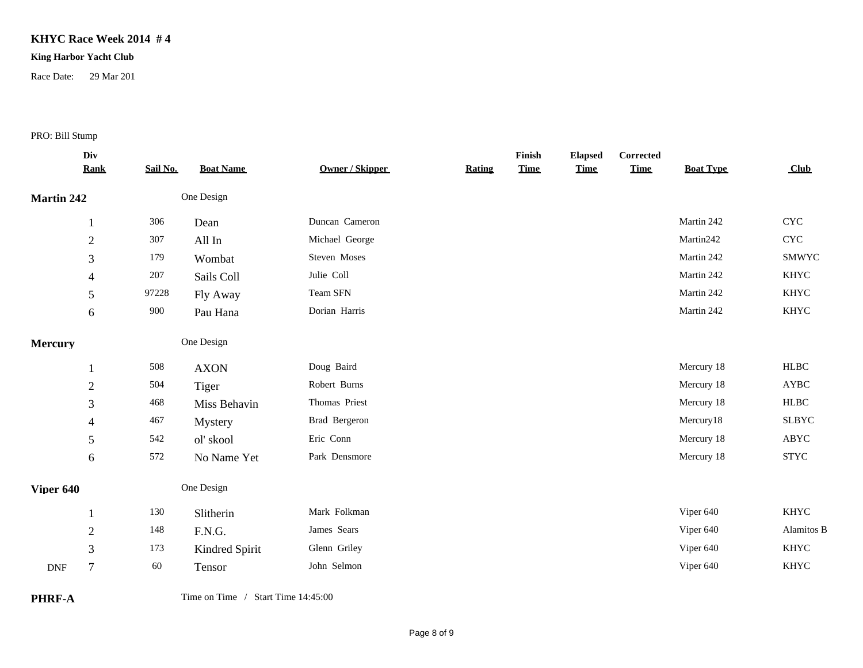#### **King Harbor Yacht Club**

Race Date: 29 Mar 201

#### PRO: Bill Stump

|                   | Div<br>Rank    | Sail No. | <b>Boat Name</b> | Owner / Skipper | Rating | Finish<br><b>Time</b> | <b>Elapsed</b><br><b>Time</b> | Corrected<br><b>Time</b> | <b>Boat Type</b> | <b>Club</b>                      |
|-------------------|----------------|----------|------------------|-----------------|--------|-----------------------|-------------------------------|--------------------------|------------------|----------------------------------|
| <b>Martin 242</b> |                |          | One Design       |                 |        |                       |                               |                          |                  |                                  |
|                   |                | 306      | Dean             | Duncan Cameron  |        |                       |                               |                          | Martin 242       | $\ensuremath{\text{CYC}}$        |
|                   | $\sqrt{2}$     | 307      | All In           | Michael George  |        |                       |                               |                          | Martin242        | <b>CYC</b>                       |
|                   | $\mathfrak{Z}$ | 179      | Wombat           | Steven Moses    |        |                       |                               |                          | Martin 242       | SMWYC                            |
|                   | $\overline{4}$ | 207      | Sails Coll       | Julie Coll      |        |                       |                               |                          | Martin 242       | <b>KHYC</b>                      |
|                   | $\mathfrak s$  | 97228    | Fly Away         | Team SFN        |        |                       |                               |                          | Martin 242       | <b>KHYC</b>                      |
|                   | $\sqrt{6}$     | 900      | Pau Hana         | Dorian Harris   |        |                       |                               |                          | Martin 242       | <b>KHYC</b>                      |
| <b>Mercury</b>    |                |          | One Design       |                 |        |                       |                               |                          |                  |                                  |
|                   |                | 508      | <b>AXON</b>      | Doug Baird      |        |                       |                               |                          | Mercury 18       | ${\tt HLBC}$                     |
|                   | $\sqrt{2}$     | 504      | Tiger            | Robert Burns    |        |                       |                               |                          | Mercury 18       | ${\rm AYBC}$                     |
|                   | 3              | 468      | Miss Behavin     | Thomas Priest   |        |                       |                               |                          | Mercury 18       | ${\rm H L BC}$                   |
|                   | $\overline{4}$ | 467      | Mystery          | Brad Bergeron   |        |                       |                               |                          | Mercury18        | <b>SLBYC</b>                     |
|                   | 5              | 542      | ol' skool        | Eric Conn       |        |                       |                               |                          | Mercury 18       | ABYC                             |
|                   | $6\,$          | 572      | No Name Yet      | Park Densmore   |        |                       |                               |                          | Mercury 18       | ${\hbox{\footnotesize\rm STYC}}$ |
| Viper 640         |                |          | One Design       |                 |        |                       |                               |                          |                  |                                  |
|                   | -1             | 130      | Slitherin        | Mark Folkman    |        |                       |                               |                          | Viper 640        | KHYC                             |
|                   | $\sqrt{2}$     | 148      | F.N.G.           | James Sears     |        |                       |                               |                          | Viper 640        | Alamitos B                       |
|                   | $\mathfrak{Z}$ | 173      | Kindred Spirit   | Glenn Griley    |        |                       |                               |                          | Viper 640        | <b>KHYC</b>                      |
| $\mathbf{DNF}$    | $\overline{7}$ | 60       | Tensor           | John Selmon     |        |                       |                               |                          | Viper 640        | <b>KHYC</b>                      |
|                   |                |          |                  |                 |        |                       |                               |                          |                  |                                  |

**PHRF-A** Time on Time / Start Time 14:45:00